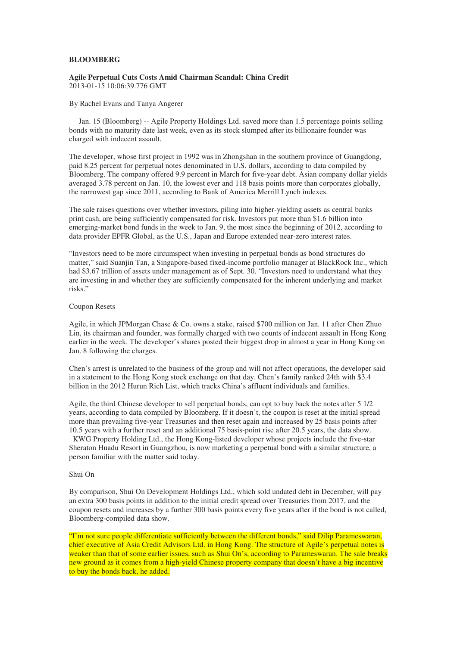### **BLOOMBERG**

### **Agile Perpetual Cuts Costs Amid Chairman Scandal: China Credit**  2013-01-15 10:06:39.776 GMT

#### By Rachel Evans and Tanya Angerer

 Jan. 15 (Bloomberg) -- Agile Property Holdings Ltd. saved more than 1.5 percentage points selling bonds with no maturity date last week, even as its stock slumped after its billionaire founder was charged with indecent assault.

The developer, whose first project in 1992 was in Zhongshan in the southern province of Guangdong, paid 8.25 percent for perpetual notes denominated in U.S. dollars, according to data compiled by Bloomberg. The company offered 9.9 percent in March for five-year debt. Asian company dollar yields averaged 3.78 percent on Jan. 10, the lowest ever and 118 basis points more than corporates globally, the narrowest gap since 2011, according to Bank of America Merrill Lynch indexes.

The sale raises questions over whether investors, piling into higher-yielding assets as central banks print cash, are being sufficiently compensated for risk. Investors put more than \$1.6 billion into emerging-market bond funds in the week to Jan. 9, the most since the beginning of 2012, according to data provider EPFR Global, as the U.S., Japan and Europe extended near-zero interest rates.

"Investors need to be more circumspect when investing in perpetual bonds as bond structures do matter," said Suanjin Tan, a Singapore-based fixed-income portfolio manager at BlackRock Inc., which had \$3.67 trillion of assets under management as of Sept. 30. "Investors need to understand what they are investing in and whether they are sufficiently compensated for the inherent underlying and market risks."

## Coupon Resets

Agile, in which JPMorgan Chase & Co. owns a stake, raised \$700 million on Jan. 11 after Chen Zhuo Lin, its chairman and founder, was formally charged with two counts of indecent assault in Hong Kong earlier in the week. The developer's shares posted their biggest drop in almost a year in Hong Kong on Jan. 8 following the charges.

Chen's arrest is unrelated to the business of the group and will not affect operations, the developer said in a statement to the Hong Kong stock exchange on that day. Chen's family ranked 24th with \$3.4 billion in the 2012 Hurun Rich List, which tracks China's affluent individuals and families.

Agile, the third Chinese developer to sell perpetual bonds, can opt to buy back the notes after 5 1/2 years, according to data compiled by Bloomberg. If it doesn't, the coupon is reset at the initial spread more than prevailing five-year Treasuries and then reset again and increased by 25 basis points after 10.5 years with a further reset and an additional 75 basis-point rise after 20.5 years, the data show. KWG Property Holding Ltd., the Hong Kong-listed developer whose projects include the five-star Sheraton Huadu Resort in Guangzhou, is now marketing a perpetual bond with a similar structure, a person familiar with the matter said today.

### Shui On

By comparison, Shui On Development Holdings Ltd., which sold undated debt in December, will pay an extra 300 basis points in addition to the initial credit spread over Treasuries from 2017, and the coupon resets and increases by a further 300 basis points every five years after if the bond is not called, Bloomberg-compiled data show.

"I'm not sure people differentiate sufficiently between the different bonds," said Dilip Parameswaran, chief executive of Asia Credit Advisors Ltd. in Hong Kong. The structure of Agile's perpetual notes is weaker than that of some earlier issues, such as Shui On's, according to Parameswaran. The sale breaks new ground as it comes from a high-yield Chinese property company that doesn't have a big incentive to buy the bonds back, he added.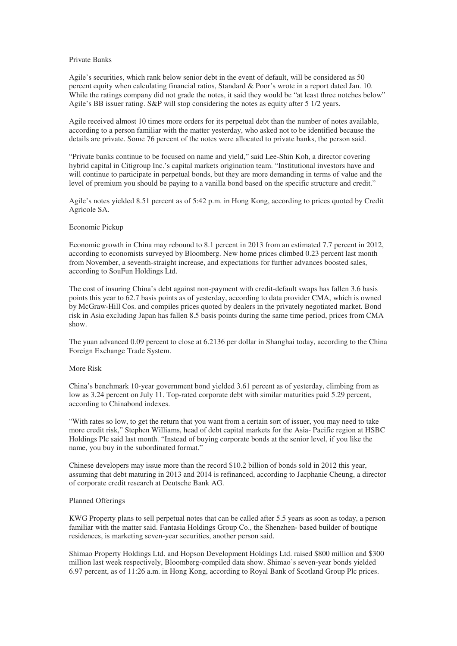### Private Banks

Agile's securities, which rank below senior debt in the event of default, will be considered as 50 percent equity when calculating financial ratios, Standard & Poor's wrote in a report dated Jan. 10. While the ratings company did not grade the notes, it said they would be "at least three notches below" Agile's BB issuer rating. S&P will stop considering the notes as equity after 5 1/2 years.

Agile received almost 10 times more orders for its perpetual debt than the number of notes available, according to a person familiar with the matter yesterday, who asked not to be identified because the details are private. Some 76 percent of the notes were allocated to private banks, the person said.

"Private banks continue to be focused on name and yield," said Lee-Shin Koh, a director covering hybrid capital in Citigroup Inc.'s capital markets origination team. "Institutional investors have and will continue to participate in perpetual bonds, but they are more demanding in terms of value and the level of premium you should be paying to a vanilla bond based on the specific structure and credit."

Agile's notes yielded 8.51 percent as of 5:42 p.m. in Hong Kong, according to prices quoted by Credit Agricole SA.

# Economic Pickup

Economic growth in China may rebound to 8.1 percent in 2013 from an estimated 7.7 percent in 2012, according to economists surveyed by Bloomberg. New home prices climbed 0.23 percent last month from November, a seventh-straight increase, and expectations for further advances boosted sales, according to SouFun Holdings Ltd.

The cost of insuring China's debt against non-payment with credit-default swaps has fallen 3.6 basis points this year to 62.7 basis points as of yesterday, according to data provider CMA, which is owned by McGraw-Hill Cos. and compiles prices quoted by dealers in the privately negotiated market. Bond risk in Asia excluding Japan has fallen 8.5 basis points during the same time period, prices from CMA show.

The yuan advanced 0.09 percent to close at 6.2136 per dollar in Shanghai today, according to the China Foreign Exchange Trade System.

#### More Risk

China's benchmark 10-year government bond yielded 3.61 percent as of yesterday, climbing from as low as 3.24 percent on July 11. Top-rated corporate debt with similar maturities paid 5.29 percent, according to Chinabond indexes.

"With rates so low, to get the return that you want from a certain sort of issuer, you may need to take more credit risk," Stephen Williams, head of debt capital markets for the Asia- Pacific region at HSBC Holdings Plc said last month. "Instead of buying corporate bonds at the senior level, if you like the name, you buy in the subordinated format."

Chinese developers may issue more than the record \$10.2 billion of bonds sold in 2012 this year, assuming that debt maturing in 2013 and 2014 is refinanced, according to Jacphanie Cheung, a director of corporate credit research at Deutsche Bank AG.

### Planned Offerings

KWG Property plans to sell perpetual notes that can be called after 5.5 years as soon as today, a person familiar with the matter said. Fantasia Holdings Group Co., the Shenzhen- based builder of boutique residences, is marketing seven-year securities, another person said.

Shimao Property Holdings Ltd. and Hopson Development Holdings Ltd. raised \$800 million and \$300 million last week respectively, Bloomberg-compiled data show. Shimao's seven-year bonds yielded 6.97 percent, as of 11:26 a.m. in Hong Kong, according to Royal Bank of Scotland Group Plc prices.